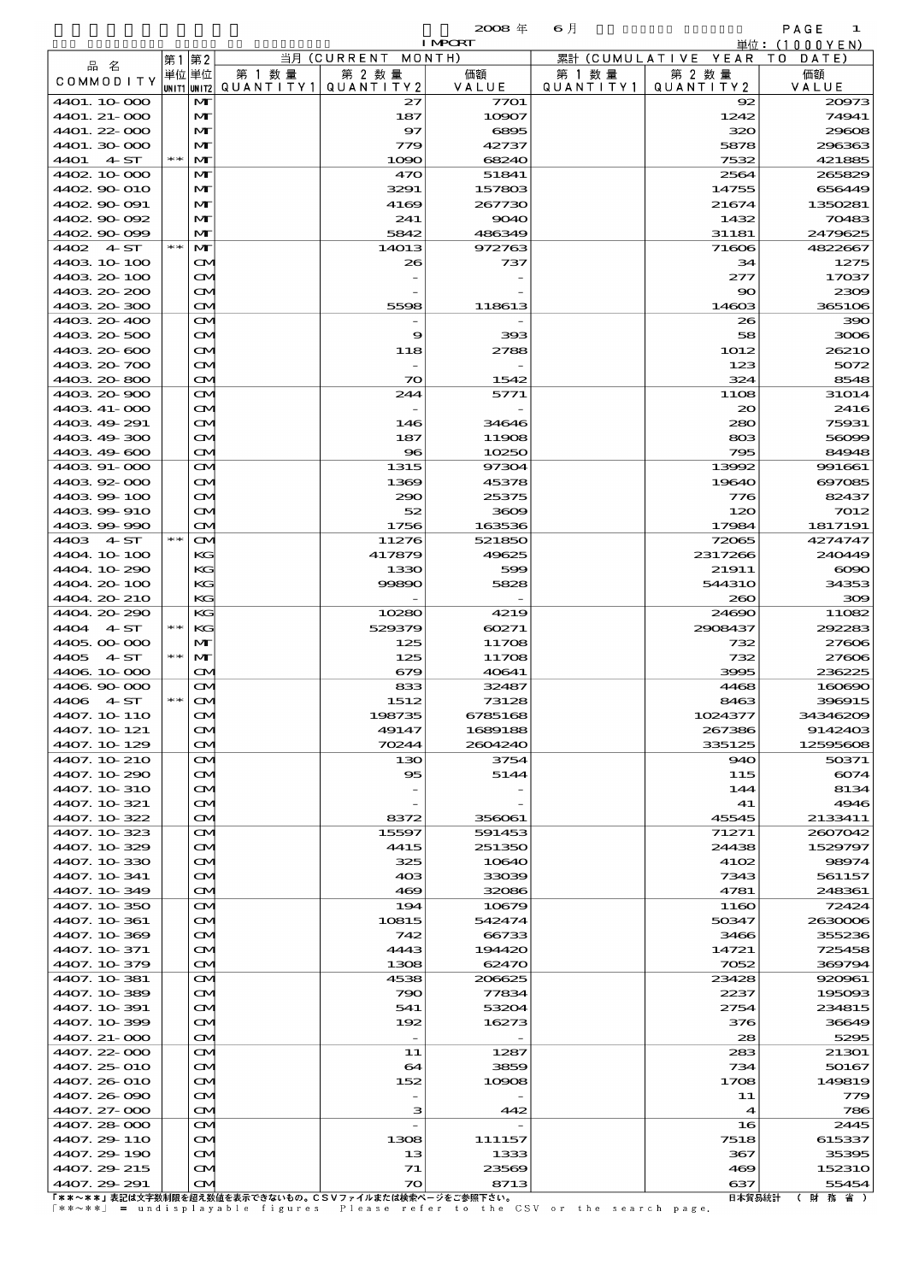$\mathbf{z}\in\mathbf{z}$  and  $\mathbf{z}\in\mathbb{R}$  and  $\mathbf{z}\in\mathbb{R}$  and  $\mathbf{z}\in\mathbb{R}$  and  $\mathbf{z}\in\mathbb{R}$  and  $\mathbf{z}\in\mathbb{R}$  and  $\mathbf{z}\in\mathbb{R}$  and  $\mathbf{z}\in\mathbb{R}$  and  $\mathbf{z}\in\mathbb{R}$  and  $\mathbf{z}\in\mathbb{R}$  and  $\mathbf{z}\in\mathbb{R}$  and

|                     |       |               |           |                    |                | $ -$      |                        | .         |
|---------------------|-------|---------------|-----------|--------------------|----------------|-----------|------------------------|-----------|
|                     |       |               |           |                    | <b>I MPORT</b> |           | 単位:                    | (1000YEN) |
|                     | 第1    | 第2            |           | 当月 (CURRENT MONTH) |                |           | 累計 (CUMULATIVE YEAR TO | DATE)     |
| 品名                  | 単位 単位 |               | 第<br>数 量  | 第 2 数量             | 価額             | 数 量<br>第  | 第 2 数量                 | 価額        |
| COMMODITY           |       | UNIT2         | QUANTITY1 | QUANTITY 2         | VALUE          | QUANTITY1 | QUANTITY2              | VALUE     |
| 4401.10.000         |       | $\mathbf{M}$  |           | 27                 | 7701           |           | $\mathbf{R}$           | 20973     |
| $4401.21-000$       |       | $\mathbf{M}$  |           | 187                | 10907          |           | 1242                   | 74941     |
| $4401.22 \cdot 000$ |       | $\mathbf{M}$  |           | 97                 | 6895           |           | 320                    | 29608     |
| 4401.30.000         |       | MГ            |           | 779                | 42737          |           | 5878                   | 296363    |
| 4ST<br>44O1         | $* *$ | MГ            |           | 1000               | 68240          |           | 7532                   | 421885    |
|                     |       | $\sim$ $\sim$ |           | -----              | -----          |           | -----                  | --------  |

| 4401. 21-000                                          |       | M                      | 187                      | 10907   | 1242             | 74941           |
|-------------------------------------------------------|-------|------------------------|--------------------------|---------|------------------|-----------------|
| 4401.22-000                                           |       | M                      | 97                       | 6895    | 320              | 29600           |
| 4401.30 000                                           |       | M                      | 779                      | 42737   | 5878             | 296363          |
| 4401 4 ST                                             | $**$  | M                      | 1090                     | 68240   | 7532             | 421885          |
| 4402 10 000                                           |       | м                      | 470                      | 51841   | 2564             | 265829          |
| 4402.90-010                                           |       | M                      | 3291                     | 157803  | 14755            | 656449          |
| 4402.90-091                                           |       | M                      | 4169                     | 267730  | 21674            | 1350281         |
| 4402.90-092                                           |       | M                      | 241                      | 9040    | 1432             | 70483           |
| 4402.90-099                                           |       | M                      | 5842                     | 486349  | 31181            | 2479625         |
| $4402 \quad 4ST$                                      | $**$  | M                      | 14013                    | 972763  | 71606            | 4822667         |
| 4403 10 100                                           |       | M                      | 26                       | 737     | 34               | 1275            |
| 4403.20-100                                           |       | Œ.                     |                          |         | 277              | 17037           |
| 4403 20 200                                           |       | M                      |                          |         | 90               | 2300            |
| 4403 20 300                                           |       | $\mathbf{\infty}$      | 5598                     | 118613  | 14603            | 3651O6          |
| 4403 20 400                                           |       | M                      |                          |         | 26               | зэс             |
| 4403 20 500                                           |       | M                      | 9                        | 393     | 58               | 3000            |
| 4403.20-600                                           |       | Œ.                     | 118                      | 2788    | 1012             | 2621C           |
| 4403 20 700                                           |       | M                      |                          |         | 123              | 5072            |
| 4403 20 800                                           |       | $\mathbf{\infty}$      | $\infty$                 | 1542    | 324              | 8548            |
| 4403 20 900                                           |       | M                      | 244                      | 5771    | 11O <sub>8</sub> | 31O14           |
| 4403 41-000                                           |       | M                      |                          |         | 20               | 2416            |
| 4403 49 291                                           |       | Œ.                     | 146                      | 34646   | 280              | 75931           |
| 4403 49 300                                           |       | M                      | 187                      | 11908   | 803              | 56096           |
| 4403 49 600                                           |       | $\mathbf{\infty}$      | $_{\rm \bf 96}$          | 10250   | 795              | 84948           |
|                                                       |       |                        |                          |         |                  |                 |
| 4403 91-000                                           |       | M                      | 1315                     | 97304   | 13992            | 991661          |
| 440392000                                             |       | M                      | 1369                     | 45378   | 19640            | 697085          |
| 4403994100                                            |       | Œ.                     | 290                      | 25375   | 776              | 82437           |
| 4403 99 910                                           |       | M                      | 52                       | 3609    | 120              | 7012            |
| 440399990                                             |       | $\mathbf{\infty}$      | 1756                     | 163536  | 17984            | 1817191         |
| 4403 4 ST                                             | $**$  | M                      | 11276                    | 521850  | 72065            | 4274747         |
| 4404.10-100                                           |       | KG                     | 417879                   | 49625   | 2317266          | 240449          |
| 4404 10 290                                           |       | KG                     | 1330                     | 599     | 21911            | $\infty$        |
| 4404.20-100                                           |       | KG                     | 99890                    | 5828    | <b>544310</b>    | 34353           |
| 4404.20-210                                           |       | KG                     |                          |         | 260              | 300             |
| 4404.20.290                                           |       | KG                     | 10280                    | 4219    | 24690            | 11082           |
| 4404 4 ST                                             | $* *$ | KG                     | 529379                   | 60271   | 2908437          | 29228           |
| 4405,000 000                                          |       | M                      | 125                      | 11708   | 732              | 27600           |
| 4405 4 ST                                             | $* *$ | M                      | 125                      | 11708   | 732              | 27600           |
| 4406 10 000                                           |       | $\mathbf{\infty}$      | 679                      | 40641   | 3995             | 236225          |
| 4406 90 000                                           |       | $\mathbf{\infty}$      | 833                      | 32487   | 4468             | 160690          |
| 4406 4 ST                                             | $* *$ | $\mathbf{\Omega}$      | 1512                     | 73128   | 8463             | 396915          |
| 4407. 10 110                                          |       | Œ.                     | 198735                   | 6785168 | 1024377          | 34346209        |
| 4407. 10 121                                          |       | Œ4                     | 49147                    | 1689188 | 267386           | 9142403         |
| 4407.10-129                                           |       | $\mathbf{\infty}$      | 70244                    | 2604240 | 335125           | 12595606        |
| 4407. 10 210                                          |       | $\mathbf{\infty}$      | 130                      | 3754    | 940              | 50371           |
| 4407.10-290                                           |       | ŒИ                     | 95                       | 5144    | 115              | 6074            |
| 4407. 10 310                                          |       | $\mathbf{\infty}$      |                          |         | 144              | 8134            |
| 4407. 10 321                                          |       | ŒM.                    |                          |         | 41               | 4946            |
| 4407.10.322                                           |       | $\mathbf{\infty}$      | 8372                     | 356061  | 45545            | 2133411         |
| 4407. 10 323                                          |       | M                      | 15597                    | 591453  | 71271            | 2607042         |
| 4407.10.329                                           |       | ŒИ                     | 4415                     | 251350  | 24438            | 1529797         |
| 4407.10.330                                           |       | M                      | 325                      | 10640   | 4102             | 98974           |
| 4407. 10 341                                          |       | ŒM.                    | 403                      | 33039   | 7343             | 561157          |
| 4407.10-349                                           |       |                        | 469                      | 32086   | 4781             |                 |
| 4407. 10 350                                          |       | $\mathbf{\infty}$<br>M | 194                      | 10679   | 1160             | 248361<br>72424 |
|                                                       |       |                        |                          |         |                  |                 |
| 4407. 10 361<br>4407.10.369                           |       | ŒМ                     | 10815<br>742             | 542474  | 50347            | 2630006         |
|                                                       |       | M                      |                          | 66733   | 3466             | 355236          |
| 4407. 10 371                                          |       | ŒM.                    | 4443                     | 194420  | 14721            | 725458          |
| 4407.10-379                                           |       | $\mathbf{\infty}$      | 1308                     | 62470   | 7052             | 369794          |
| 4407. 10 381                                          |       | M                      | 4538                     | 206625  | 23428            | 920961          |
| 4407. 10 389                                          |       | ŒМ                     | 790                      | 77834   | 2237             | 195093          |
| 4407. 10 391                                          |       | ŒM.                    | 541                      | 53204   | 2754             | 234815          |
| 4407. 10 399                                          |       | ŒM.                    | 192                      | 16273   | 376              | 36649           |
| 4407. 21-000                                          |       | $\mathbf{\infty}$      | $\overline{\phantom{a}}$ |         | 28               | 529E            |
| 4407.22-000                                           |       | M                      | 11                       | 1287    | 283              | 21301           |
| 4407.25 010                                           |       | ŒМ                     | 64                       | 3859    | 734              | 50167           |
| 4407.26 O10                                           |       | ŒM.                    | 152                      | 10908   | 1708             | 149819          |
| 4407.26-090                                           |       | M                      |                          |         | 11               | 779             |
| 4407. 27-000                                          |       | $\mathbf{\infty}$      | з                        | 442     | $\boldsymbol{4}$ | 786             |
| 4407.28-000                                           |       | M                      |                          |         | 16               | 2445            |
| 4407.29-110                                           |       | ŒИ                     | 1308                     | 111157  | 7518             | 615337          |
| 4407.29 190                                           |       | M                      | 13                       | 1333    | 367              | 3539E           |
| 4407.29 215                                           |       | Œ4                     | 71                       | 23569   | 469              | 152310          |
| 4407.29 291                                           |       | M                      | $\boldsymbol{\infty}$    | 8713    | 637              | 55454           |
| 「**~**」表記は文字数制限を超え数値を表示できないもの。CSVファイルまたは検索ページをご参照下さい。 |       |                        |                          |         | 日本貿易統計           | 財<br>務 省 )      |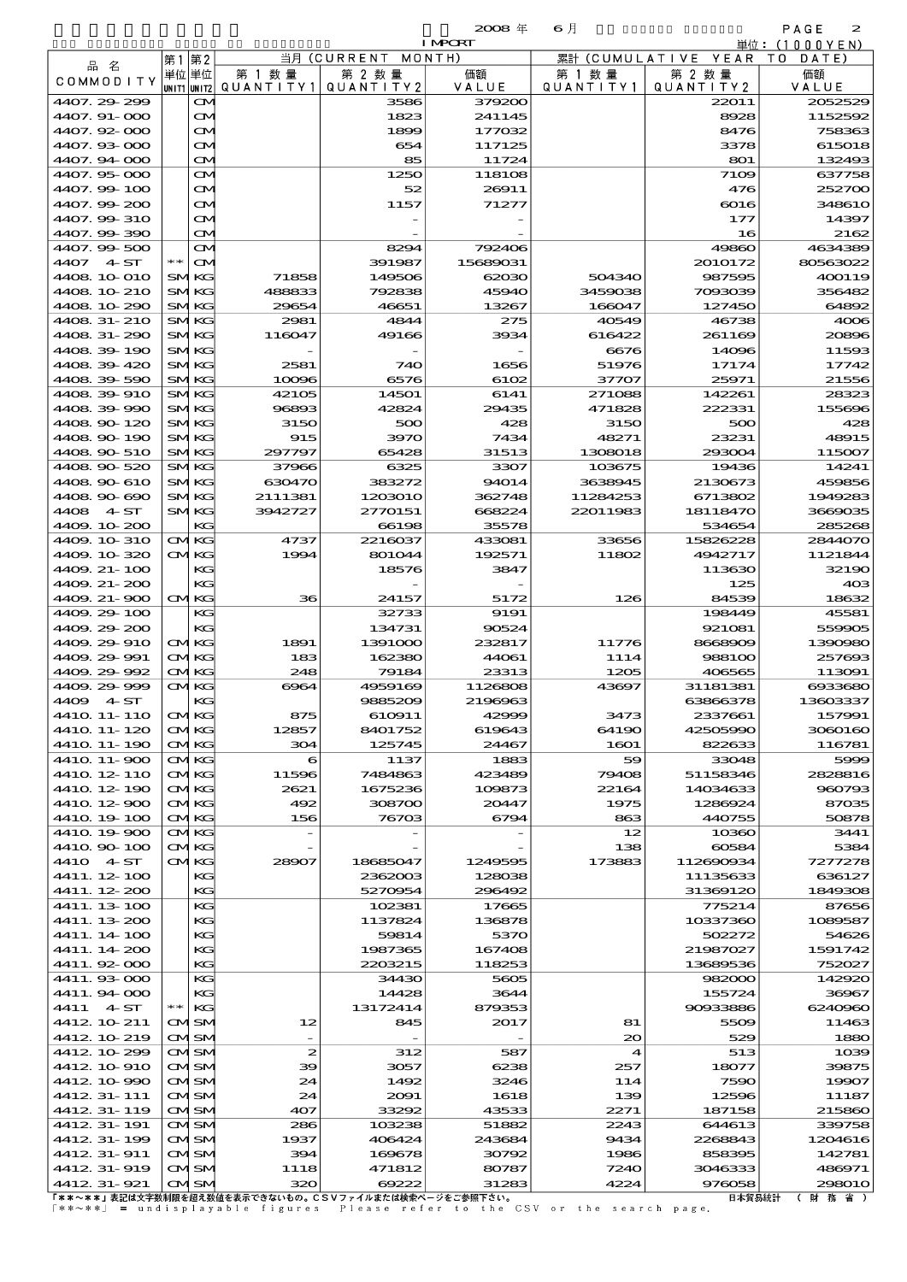海上コンテナ貨物品別表 輸 入 2008 6 確定 (Fixed Annual) 2

| <b>AIRT</b> |  |
|-------------|--|
|             |  |

|                                                       |                            |                  |                    | <b>I MPORT</b>   |                   |                      | 単位:(1000YEN)      |
|-------------------------------------------------------|----------------------------|------------------|--------------------|------------------|-------------------|----------------------|-------------------|
| 品名                                                    | 第2<br>第1                   |                  | 当月(CURRENT         | MONTH)           | 累計(CUMULATIVE     | YEAR                 | T O<br>DATE       |
| COMMODITY                                             | 単位 単位                      | 第 1 数 量          | 第 2 数量             | 価額               | 第 1 数 量           | 第 2 数量               | 価額                |
| 4407.29-299                                           | UNIT1 UNIT2 <br>ŒM         | QUANTITY1        | QUANTITY 2<br>3586 | VALUE<br>379200  | Q U A N T I T Y 1 | QUANTITY 2<br>22011  | VALUE<br>2052529  |
| 4407.91-000                                           | $\mathbf{\Omega}$          |                  | 1823               | 241145           |                   | 8928                 | 1152592           |
| 4407.92-000                                           | $\mathbf{\Omega}$          |                  | 1899               | 177032           |                   | 8476                 | 758363            |
| 4407.93-000                                           | $\mathbf{\infty}$          |                  | 654                | 117125           |                   | 3378                 | 615018            |
| 4407.94 000                                           | $\mathbf{\Omega}$          |                  | 85                 | 11724            |                   | 801                  | 132493            |
| 4407.95-000                                           | M                          |                  | 1250               | 118108           |                   | 7109                 | 637758            |
| 4407.99-100                                           | M                          |                  | 52                 | 26911            |                   | 476                  | 252700            |
| 4407.99-200                                           | M                          |                  | 1157               | 71277            |                   | $\boldsymbol{6016}$  | <b>348610</b>     |
| 4407.99-310<br>4407.99-390                            | M<br>M                     |                  |                    |                  |                   | 177<br>16            | 14397<br>2162     |
| 4407.99-500                                           | M                          |                  | 8294               | 792406           |                   | 49860                | 4634389           |
| 4407<br>4 ST                                          | $* *$<br>$\mathbf{\alpha}$ |                  | 391987             | 15689031         |                   | 2010172              | 80563022          |
| 4408 10 010                                           | <b>SMKG</b>                | 71858            | 149506             | 62030            | 504340            | 987595               | 400119            |
| 4408 10 210                                           | SMKG                       | 488833           | 792838             | 45940            | 3459038           | 7093039              | 356482            |
| 4408.10-290                                           | <b>SMKG</b>                | 29654            | 46651              | 13267            | 166047            | 127450               | 64892             |
| 4408 31-210                                           | SMKG                       | 2981             | 4844               | 275              | 40549             | 46738                | 4006              |
| 4408.31-290                                           | SMKG                       | 116047           | 49166              | 3934             | 616422            | 261169               | 20896             |
| 4408.39-190                                           | <b>SMKG</b>                |                  |                    |                  | 6676<br>51976     | 14096                | 11593             |
| 4408.39-420<br>4408.39.590                            | SMKG<br><b>SMKG</b>        | 2581<br>10096    | 740<br>6576        | 1656<br>6102     | 37707             | 17174<br>25971       | 17742<br>21556    |
| 4408.39-910                                           | <b>SMKG</b>                | 42105            | 14501              | 6141             | 271088            | 142261               | 28323             |
| 4408.39-990                                           | <b>SMKG</b>                | 96893            | 42824              | 29435            | 471828            | 222331               | 155696            |
| 4408.90-120                                           | <b>SMKG</b>                | 3150             | 500                | 428              | 3150              | 500                  | 428               |
| 4408 90 190                                           | SMKG                       | 915              | 3970               | 7434             | 48271             | 23231                | 48915             |
| 4408.90-510                                           | <b>SMKG</b>                | 297797           | 65428              | 31513            | 1308018           | 293004               | 115007            |
| 4408.90-520                                           | SMKG                       | 37966            | 6325               | 3307             | 103675            | 19436                | 14241             |
| 4408.90-610                                           | <b>SMKG</b>                | 630470           | 383272             | 94014            | 3638945           | 2130673              | 459856            |
| 4408.90-690                                           | <b>SMKG</b>                | 2111381          | 1203010            | 362748           | 11284253          | 6713802              | 1949283           |
| 4408 4.ST<br>4409.10-200                              | SMKG<br>KG                 | 3942727          | 2770151<br>66198   | 668224<br>35578  | 22011983          | 18118470<br>534654   | 3669035<br>285268 |
| 4409.10-310                                           | <b>CMKG</b>                | 4737             | 2216037            | 433081           | 33656             | 15826228             | 2844070           |
| 4409.10-320                                           | CMKG                       | 1994             | 801044             | 192571           | 11802             | 4942717              | 1121844           |
| 4409. 21-100                                          | KG                         |                  | 18576              | 3847             |                   | 113630               | 32190             |
| 4409. 21-200                                          | KG                         |                  |                    |                  |                   | 125                  | 403               |
| 4409. 21-900                                          | CMKG                       | 36               | 24157              | 5172             | 126               | 84539                | 18632             |
| 4409.29-100                                           | KG                         |                  | 32733              | 9191             |                   | 198449               | 45581             |
| 4409.29-200                                           | KG                         |                  | 134731             | 90524            |                   | 921081               | 559905            |
| 4409.29-910<br>4409, 29-991                           | <b>CMKG</b><br><b>CMKG</b> | 1891<br>183      | 1391000<br>162380  | 232817<br>44061  | 11776<br>1114     | 8668909<br>988100    | 1390980<br>257693 |
| 4409.29-992                                           | <b>CMKG</b>                | 248              | 79184              | 23313            | 1205              | 406565               | 113091            |
| 4409.29-999                                           | CMKG                       | 6964             | 4959169            | 1126808          | 43697             | 31181381             | 6933680           |
| 4409 4 ST                                             | KG                         |                  | 9885209            | 2196963          |                   | 63866378             | 13603337          |
| 441Q 11- 11O                                          | KG                         | 875              | 610911             | 42999            | 3473              | 2337661              | 157991            |
| 4410 11-120                                           | <b>CMKG</b>                | 12857            | 8401752            | 619643           | 64190             | 42505990             | 3060160           |
| 4410 11- 190                                          | <b>CMKG</b>                | 304              | 125745             | 24467            | 1601              | 822633               | 116781            |
| 4410 11-900                                           | <b>CMKG</b>                | 6                | 1137               | 1883             | 59                | 33048                | 5999              |
| 4410 12 110<br>4410 12 190                            | <b>CMKG</b><br><b>CMKG</b> | 11596<br>2621    | 7484863<br>1675236 | 423489<br>109873 | 79408<br>22164    | 51158346<br>14034633 | 2828816<br>960793 |
| 4410 12 900                                           | CMKG                       | 492              | 308700             | 20447            | 1975              | 1286924              | 87035             |
| 4410 19 100                                           | <b>CMKG</b>                | 156              | 76703              | 6794             | 863               | 440755               | 50878             |
| 4410 19 900                                           | <b>CMKG</b>                |                  |                    |                  | 12                | 10360                | 3441              |
| 4410.90-100                                           | <b>CMKG</b>                |                  |                    |                  | 138               | 60584                | 5384              |
| 4410 4 ST                                             | CMKG                       | 28907            | 18685047           | 1249595          | 173883            | 112690934            | 7277278           |
| 4411.12.100                                           | KG                         |                  | 2362003            | 128038           |                   | 11135633             | 636127            |
| 4411. 12-200                                          | KG<br>KG                   |                  | 5270954<br>102381  | 296492<br>17665  |                   | 31369120<br>775214   | 1849308<br>87656  |
| 4411. 13-100<br>4411. 13-200                          | KG                         |                  | 1137824            | 136878           |                   | 10337360             | 1089587           |
| 4411. 14- 100                                         | KG                         |                  | 59814              | 5370             |                   | 502272               | 54626             |
| 4411.14-200                                           | KG                         |                  | 1987365            | 167408           |                   | 21987027             | 1591742           |
| 4411.92-000                                           | KG                         |                  | 2203215            | 118253           |                   | 13689536             | 752027            |
| 4411.933-000                                          | KG                         |                  | 34430              | 5605             |                   | 982000               | 142920            |
| 4411.94-000                                           | KG                         |                  | 14428              | 3644             |                   | 155724               | 36967             |
| 4411<br>4ST                                           | KG<br>∗∗                   |                  | 13172414           | 879353           |                   | 90933886             | 6240960           |
| 4412 10 211                                           | CMISM                      | 12               | 845                | 2017             | 81                | 5509                 | 11463             |
| 4412 10 219<br>4412 10 299                            | CMSM<br>CMISM              | $\boldsymbol{z}$ | 312                | 587              | $\infty$<br>4     | 529<br>513           | 1880<br>1039      |
| 4412 10 910                                           | CMISM                      | 39               | 3057               | 6238             | 257               | 18077                | 39875             |
| 4412 10 990                                           | CMSM                       | 24               | 1492               | 3246             | 114               | 7590                 | 19907             |
| 4412 31-111                                           | CMISM                      | 24               | 2091               | 1618             | 139               | 12596                | 11187             |
| 4412 31- 119                                          | CMSM                       | 407              | 33292              | 43533            | 2271              | 187158               | 215860            |
| 4412 31- 191                                          | CMISM                      | 286              | 103238             | 51882            | 2243              | 644613               | 339758            |
| 4412 31-199                                           | CMISM                      | 1937             | 406424             | 243684           | 9434              | 2268843              | 1204616           |
| 4412 31-911                                           | CMSM                       | 394              | 169678             | 30792            | 1986              | 858395               | 142781            |
| 4412 31-919<br>4412 31-921                            | CMISM<br>CMSM              | 1118<br>320      | 471812<br>69222    | 80787<br>31283   | 7240<br>4224      | 3046333<br>976058    | 486971<br>298010  |
| 「**~**」表記は文字数制限を超え数値を表示できないもの。CSVファイルまたは検索ページをご参照下さい。 |                            |                  |                    |                  |                   | 日本留易統計               |                   |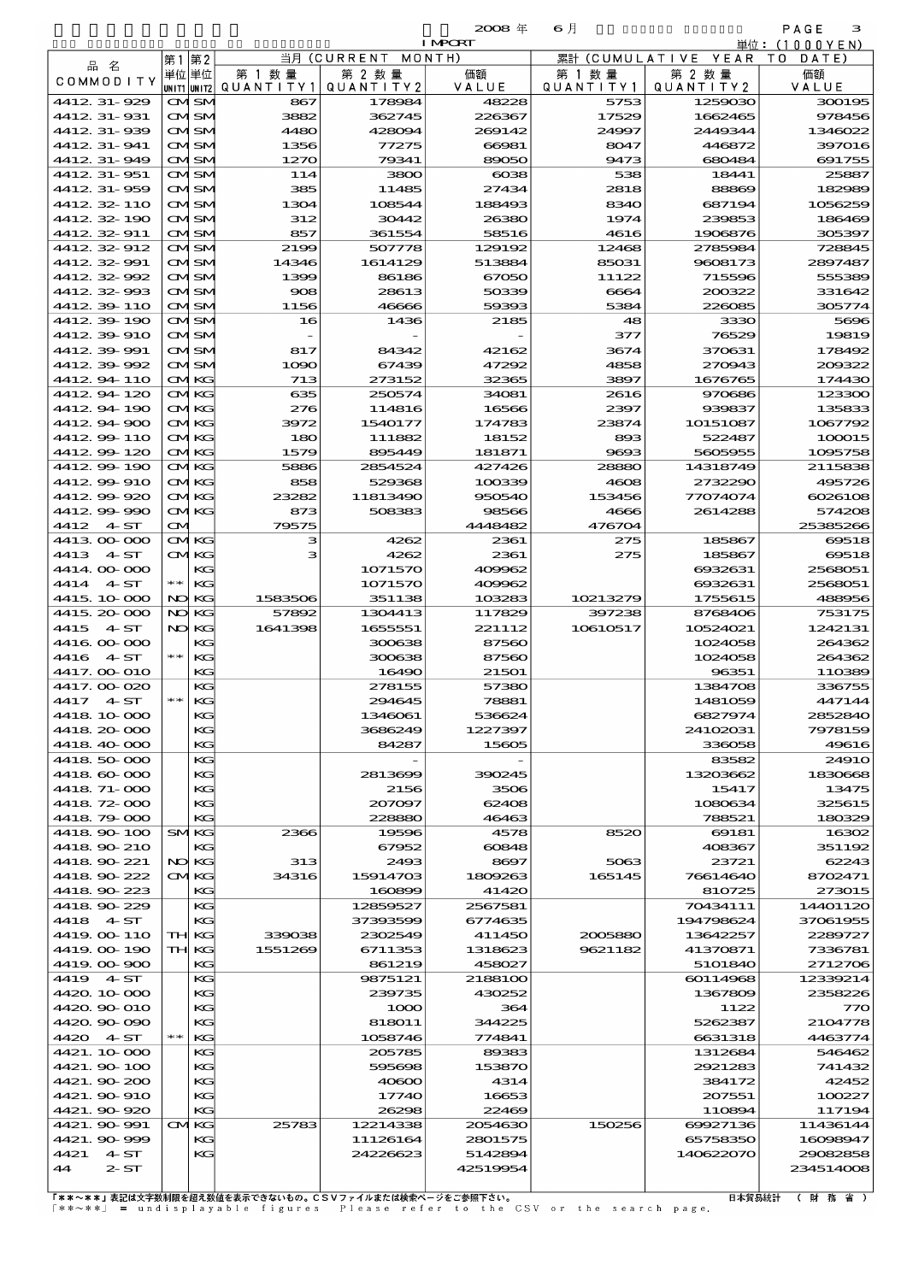|                              |            |                             |              |                      | $2008 \text{ } \#$ | 6月             |                               | PAGE<br>з           |
|------------------------------|------------|-----------------------------|--------------|----------------------|--------------------|----------------|-------------------------------|---------------------|
|                              |            |                             |              |                      | <b>I MPCRT</b>     |                |                               | 単位: (1000YEN)       |
| 品 名                          |            | 第1第2<br>単位 単位               | 第 1 数 量      | 当月(CURRENT<br>第 2 数量 | MONTH)<br>価額       | 第 1 数 量        | 累計 (CUMULATIVE YEAR<br>第 2 数量 | T O<br>DATE<br>価額   |
| COMMODITY                    |            | UNIT1 UNIT2                 | QUANTITY1    | QUANTITY 2           | VALUE              | QUANTITY1      | QUANTITY 2                    | VALUE               |
| 4412 31-929                  |            | <b>CMISM</b>                | 867          | 178984               | 48228              | 5753           | 1259030                       | 300195              |
| 4412, 31-931                 |            | <b>CMISM</b>                | 3882         | 362745               | 226367             | 17529          | 1662465                       | 978456              |
| 4412 31-939                  |            | <b>CMSM</b>                 | 4480         | 428094               | 269142             | 24997          | 2449344                       | 1346022             |
| 4412, 31-941                 |            | <b>CMISM</b>                | 1356         | 77275                | 66981              | 8047           | 446872                        | 397016              |
| 4412 31-949                  |            | <b>CMISM</b>                | 1270         | 79341                | 89050              | 9473           | 680484                        | 691755              |
| 4412 31 - 951<br>4412 31-959 |            | <b>CMISM</b><br>CMSM        | 114<br>385   | 3800<br>11485        | $\cos$<br>27434    | 538<br>2818    | 18441<br>88869                | 25887<br>182989     |
| 4412 32 110                  |            | <b>CMISM</b>                | 1304         | 108544               | 188493             | 8340           | 687194                        | 1056259             |
| 441232-190                   |            | CMSM                        | 312          | 30442                | 26380              | 1974           | 239853                        | 186469              |
| 4412 32 911                  |            | <b>CMISM</b>                | 857          | 361554               | 58516              | 4616           | 1906876                       | 305397              |
| 4412 32 912                  |            | <b>CMSM</b>                 | 2199         | 507778               | 129192             | 12468          | 2785984                       | 728845              |
| 4412.32-991                  |            | <b>CMISM</b>                | 14346        | 1614129              | 513884             | 85031          | 9608173                       | 2897487             |
| 4412 32 992                  |            | <b>CMISM</b>                | 1399         | 86186                | 67050              | 11122          | 715596                        | 555389              |
| 441232-993                   |            | CMSM                        | 908          | 28613                | 50339              | 6664           | 200322                        | 331642              |
| 4412 39 110                  |            | <b>CMISM</b>                | 1156         | 46666                | 59393              | 5384           | 226085                        | 305774              |
| 4412 39 190<br>4412 39 910   |            | <b>CMSM</b><br><b>CMISM</b> | 16           | 1436                 | 2185               | 48<br>377      | 3330<br>76529                 | 5696<br>19819       |
| 4412 39 991                  |            | <b>CMISM</b>                | 817          | 84342                | 42162              | 3674           | 370631                        | 178492              |
| 4412 39 992                  |            | CMSM                        | 1090         | 67439                | 47292              | 4858           | 270943                        | 200322              |
| 441294110                    |            | <b>CMKG</b>                 | 713          | 273152               | 32365              | 3897           | 1676765                       | 174430              |
| 4412 94 120                  |            | <b>CMKG</b>                 | 635          | 250574               | 34081              | 2616           | 970686                        | 123300              |
| 441294190                    |            | <b>CMKG</b>                 | 276          | 114816               | 16566              | 2397           | 939837                        | 135833              |
| 4412 94 900                  |            | <b>CMKG</b>                 | 3972         | 1540177              | 174783             | 23874          | 10151087                      | 1067792             |
| 4412.99-110                  |            | <b>CMKG</b>                 | 180          | 111882               | 18152              | 893            | 522487                        | 100015              |
| 4412990120                   |            | <b>CMKG</b>                 | 1579         | 895449               | 181871             | 9693           | 5605955                       | 1095758             |
| 4412 99 190                  |            | <b>CMKG</b>                 | 5886         | 2854524              | 427426             | 28880          | 14318749                      | 2115838             |
| 441299910<br>4412.99-920     |            | <b>CMKG</b><br><b>CMKG</b>  | 858<br>23282 | 529368<br>11813490   | 100339<br>950540   | 4608<br>153456 | 2732290<br>77074074           | 495726<br>6026106   |
| 4412.99-990                  |            | <b>CMKG</b>                 | 873          | 508383               | 98566              | 4666           | 2614288                       | 574208              |
| 4412 4 ST                    | M          |                             | 79575        |                      | 4448482            | 476704         |                               | 25385266            |
| 4413 00 000                  |            | <b>CMKG</b>                 | з            | 4262                 | 2361               | 275            | 185867                        | 69518               |
| 4413 4 ST                    |            | <b>CMKG</b>                 | з            | 4262                 | 2361               | 275            | 185867                        | 69518               |
| 4414 00 000                  |            | KG                          |              | 1071570              | 409962             |                | 6932631                       | 2568051             |
| 4414 4. ST                   | $\ast\ast$ | KG                          |              | 1071570              | 409962             |                | 6932631                       | 2568051             |
| 4415, 10, 000                | NO         | KС                          | 1583506      | 351138               | 103283             | 10213279       | 1755615                       | 488956              |
| 4415 20 000                  | NO         | KG                          | 57892        | 1304413              | 117829             | 397238         | 8768406                       | 753175              |
| 4415<br>4ST<br>4416 00 000   | NO         | KС<br>KG                    | 1641398      | 1655551<br>300638    | 221112<br>87560    | 10610517       | 10524021<br>1024058           | 1242131<br>264362   |
| 4416 4 ST                    | $**$       | KG                          |              | 300638               | 87560              |                | 1024058                       | 264362              |
| 4417. OO O1O                 |            | KG                          |              | 16490                | 21501              |                | 96351                         | 110389              |
| 4417.00-020                  |            | KG                          |              | 278155               | 57380              |                | 1384708                       | 336755              |
| 4417 4 ST                    |            | KG                          |              | 294645               | 78881              |                | 1481059                       | 447144              |
| 4418 10 000                  |            | КG                          |              | 1346061              | 536624             |                | 6827974                       | 2852840             |
| 4418 20 000                  |            | KG                          |              | 3686249              | 1227397            |                | 24102031                      | 7978159             |
| 4418 40 000                  |            | KG                          |              | 84287                | 15605              |                | 336058                        | 4961€               |
| 4418 50 000                  |            | KG                          |              |                      |                    |                | 83582                         | 2491C               |
| 4418 60 000<br>4418 71-000   |            | КG<br>KG                    |              | 2813699<br>2156      | 390245<br>3506     |                | 13203662<br>15417             | 183066<br>13475     |
| 4418 72 000                  |            | KС                          |              | 207097               | 62408              |                | 1080634                       | 325615              |
| 4418 79 000                  |            | KG                          |              | 228880               | 46463              |                | 788521                        | 180329              |
| 4418 90 100                  |            | <b>SMKG</b>                 | 2366         | 19596                | 4578               | 8520           | 69181                         | 16302               |
| 4418 90 210                  |            | КG                          |              | 67952                | 60848              |                | 408367                        | 351192              |
| 4418 90 221                  |            | NO KG                       | 313          | 2493                 | 8697               | 5063           | 23721                         | 62243               |
| 4418 90 222                  |            | <b>CMKG</b>                 | 34316        | 15914703             | 1809263            | 165145         | 76614640                      | 8702471             |
| 4418 90 223                  |            | KG                          |              | 160899               | 41420              |                | 810725                        | 273015              |
| 4418 90 229                  |            | KG                          |              | 12859527             | 2567581            |                | 70434111                      | 14401120            |
| 4418 4 ST<br>4419 OO 110     |            | KG<br>TH KG                 | 339038       | 37393599<br>2302549  | 6774635<br>411450  | 2005880        | 194798624<br>13642257         | 37061955<br>2289727 |
| 4419.00 190                  |            | TH KG                       | 1551269      | 6711353              | 1318623            | 9621182        | 41370871                      | 7336781             |
| 4419 00 900                  |            | KG                          |              | 861219               | 458027             |                | 5101840                       | 2712706             |
| 4419 4 ST                    |            | KG                          |              | 9875121              | 2188100            |                | 60114968                      | 12339214            |
| 4420.10-000                  |            | КG                          |              | 239735               | 430252             |                | 1367809                       | 2358226             |
| 4420 90 010                  |            | КG                          |              | 1000                 | 364                |                | 1122                          | 77C                 |
| 4420.90-090                  |            | KG                          |              | 818011               | 344225             |                | 5262387                       | 2104778             |
| 4420 4 ST                    | $\ast\ast$ | KG                          |              | 1058746              | 774841             |                | 6631318                       | 4463774             |
| 4421. 10 000                 |            | KG<br>КG                    |              | 205785<br>595698     | 89383<br>153870    |                | 1312684<br>2921283            | 546462<br>741432    |
| 4421.90 100<br>4421.90-200   |            | KG                          |              | 40600                | 4314               |                | 384172                        | 42452               |
| 4421. 90 910                 |            | KG                          |              | 17740                | 16653              |                | 207551                        | 100227              |
| 4421.90-920                  |            | KG                          |              | 26298                | 22469              |                | 110894                        | 117194              |
| 4421.90-991                  |            | <b>CMKG</b>                 | 25783        | 12214338             | 2054630            | 150256         | 69927136                      | 11436144            |
| 4421.90-999                  |            | КG                          |              | 11126164             | 2801575            |                | 65758350                      | 16098947            |
| 4421 4 ST                    |            | KG                          |              | 24226623             | 5142894            |                | 140622070                     | 29082858            |
| 2S<br>44                     |            |                             |              |                      | 42519954           |                |                               | 234514006           |